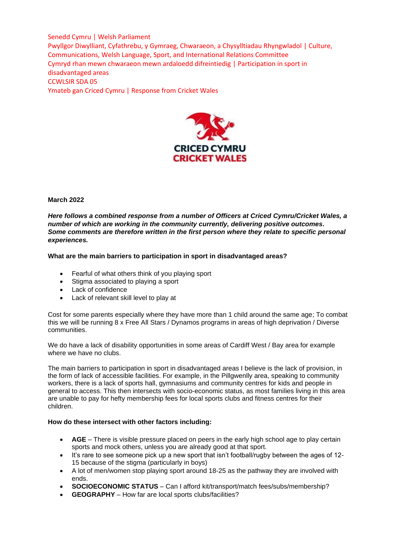

## **March 2022**

*Here follows a combined response from a number of Officers at Criced Cymru/Cricket Wales, a number of which are working in the community currently, delivering positive outcomes. Some comments are therefore written in the first person where they relate to specific personal experiences.*

## **What are the main barriers to participation in sport in disadvantaged areas?**

- Fearful of what others think of you playing sport
- Stigma associated to playing a sport
- Lack of confidence
- Lack of relevant skill level to play at

Cost for some parents especially where they have more than 1 child around the same age; To combat this we will be running 8 x Free All Stars / Dynamos programs in areas of high deprivation / Diverse communities.

We do have a lack of disability opportunities in some areas of Cardiff West / Bay area for example where we have no clubs.

The main barriers to participation in sport in disadvantaged areas I believe is the lack of provision, in the form of lack of accessible facilities. For example, in the Pillgwenlly area, speaking to community workers, there is a lack of sports hall, gymnasiums and community centres for kids and people in general to access. This then intersects with socio-economic status, as most families living in this area are unable to pay for hefty membership fees for local sports clubs and fitness centres for their children.

### **How do these intersect with other factors including:**

- **AGE** There is visible pressure placed on peers in the early high school age to play certain sports and mock others, unless you are already good at that sport.
- It's rare to see someone pick up a new sport that isn't football/rugby between the ages of 12- 15 because of the stigma (particularly in boys)
- A lot of men/women stop playing sport around 18-25 as the pathway they are involved with ends.
- **SOCIOECONOMIC STATUS**  Can I afford kit/transport/match fees/subs/membership?
- **GEOGRAPHY**  How far are local sports clubs/facilities?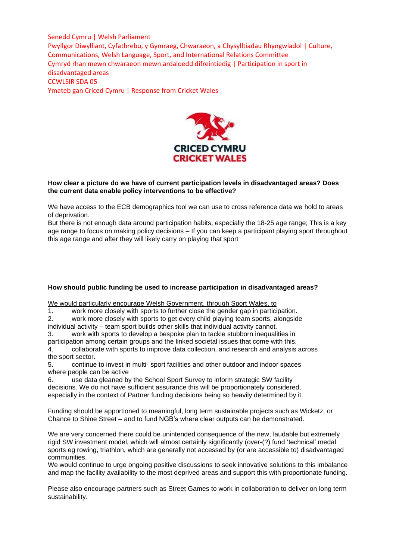

## **How clear a picture do we have of current participation levels in disadvantaged areas? Does the current data enable policy interventions to be effective?**

We have access to the ECB demographics tool we can use to cross reference data we hold to areas of deprivation.

But there is not enough data around participation habits, especially the 18-25 age range; This is a key age range to focus on making policy decisions – If you can keep a participant playing sport throughout this age range and after they will likely carry on playing that sport

# **How should public funding be used to increase participation in disadvantaged areas?**

We would particularly encourage Welsh Government, through Sport Wales, to

1. work more closely with sports to further close the gender gap in participation.

2. work more closely with sports to get every child playing team sports, alongside

individual activity – team sport builds other skills that individual activity cannot.

3. work with sports to develop a bespoke plan to tackle stubborn inequalities in participation among certain groups and the linked societal issues that come with this. 4. collaborate with sports to improve data collection, and research and analysis across

the sport sector. 5. continue to invest in multi- sport facilities and other outdoor and indoor spaces

where people can be active

6. use data gleaned by the School Sport Survey to inform strategic SW facility decisions. We do not have sufficient assurance this will be proportionately considered, especially in the context of Partner funding decisions being so heavily determined by it.

Funding should be apportioned to meaningful, long term sustainable projects such as Wicketz, or Chance to Shine Street – and to fund NGB's where clear outputs can be demonstrated.

We are very concerned there could be unintended consequence of the new, laudable but extremely rigid SW investment model, which will almost certainly significantly (over-(?) fund 'technical' medal sports eg rowing, triathlon, which are generally not accessed by (or are accessible to) disadvantaged communities.

We would continue to urge ongoing positive discussions to seek innovative solutions to this imbalance and map the facility availability to the most deprived areas and support this with proportionate funding.

Please also encourage partners such as Street Games to work in collaboration to deliver on long term sustainability.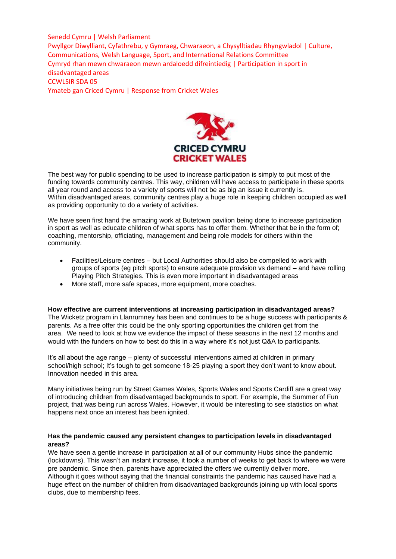

The best way for public spending to be used to increase participation is simply to put most of the funding towards community centres. This way, children will have access to participate in these sports all year round and access to a variety of sports will not be as big an issue it currently is. Within disadvantaged areas, community centres play a huge role in keeping children occupied as well as providing opportunity to do a variety of activities.

We have seen first hand the amazing work at Butetown pavilion being done to increase participation in sport as well as educate children of what sports has to offer them. Whether that be in the form of; coaching, mentorship, officiating, management and being role models for others within the community.

- Facilities/Leisure centres but Local Authorities should also be compelled to work with groups of sports (eg pitch sports) to ensure adequate provision vs demand – and have rolling Playing Pitch Strategies. This is even more important in disadvantaged areas
- More staff, more safe spaces, more equipment, more coaches.

### **How effective are current interventions at increasing participation in disadvantaged areas?**

The Wicketz program in Llanrumney has been and continues to be a huge success with participants & parents. As a free offer this could be the only sporting opportunities the children get from the area. We need to look at how we evidence the impact of these seasons in the next 12 months and would with the funders on how to best do this in a way where it's not just Q&A to participants.

It's all about the age range – plenty of successful interventions aimed at children in primary school/high school; It's tough to get someone 18-25 playing a sport they don't want to know about. Innovation needed in this area.

Many initiatives being run by Street Games Wales, Sports Wales and Sports Cardiff are a great way of introducing children from disadvantaged backgrounds to sport. For example, the Summer of Fun project, that was being run across Wales. However, it would be interesting to see statistics on what happens next once an interest has been ignited.

## **Has the pandemic caused any persistent changes to participation levels in disadvantaged areas?**

We have seen a gentle increase in participation at all of our community Hubs since the pandemic (lockdowns). This wasn't an instant increase, it took a number of weeks to get back to where we were pre pandemic. Since then, parents have appreciated the offers we currently deliver more. Although it goes without saying that the financial constraints the pandemic has caused have had a huge effect on the number of children from disadvantaged backgrounds joining up with local sports clubs, due to membership fees.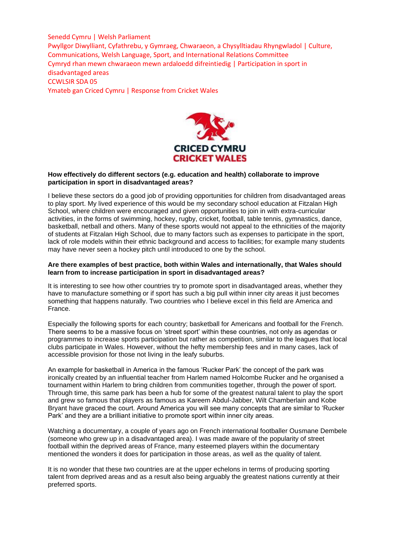

## **How effectively do different sectors (e.g. education and health) collaborate to improve participation in sport in disadvantaged areas?**

I believe these sectors do a good job of providing opportunities for children from disadvantaged areas to play sport. My lived experience of this would be my secondary school education at Fitzalan High School, where children were encouraged and given opportunities to join in with extra-curricular activities, in the forms of swimming, hockey, rugby, cricket, football, table tennis, gymnastics, dance, basketball, netball and others. Many of these sports would not appeal to the ethnicities of the majority of students at Fitzalan High School, due to many factors such as expenses to participate in the sport, lack of role models within their ethnic background and access to facilities; for example many students may have never seen a hockey pitch until introduced to one by the school.

### **Are there examples of best practice, both within Wales and internationally, that Wales should learn from to increase participation in sport in disadvantaged areas?**

It is interesting to see how other countries try to promote sport in disadvantaged areas, whether they have to manufacture something or if sport has such a big pull within inner city areas it just becomes something that happens naturally. Two countries who I believe excel in this field are America and France.

Especially the following sports for each country; basketball for Americans and football for the French. There seems to be a massive focus on 'street sport' within these countries, not only as agendas or programmes to increase sports participation but rather as competition, similar to the leagues that local clubs participate in Wales. However, without the hefty membership fees and in many cases, lack of accessible provision for those not living in the leafy suburbs.

An example for basketball in America in the famous 'Rucker Park' the concept of the park was ironically created by an influential teacher from Harlem named Holcombe Rucker and he organised a tournament within Harlem to bring children from communities together, through the power of sport. Through time, this same park has been a hub for some of the greatest natural talent to play the sport and grew so famous that players as famous as Kareem Abdul-Jabber, Wilt Chamberlain and Kobe Bryant have graced the court. Around America you will see many concepts that are similar to 'Rucker Park' and they are a brilliant initiative to promote sport within inner city areas.

Watching a documentary, a couple of years ago on French international footballer Ousmane Dembele (someone who grew up in a disadvantaged area). I was made aware of the popularity of street football within the deprived areas of France, many esteemed players within the documentary mentioned the wonders it does for participation in those areas, as well as the quality of talent.

It is no wonder that these two countries are at the upper echelons in terms of producing sporting talent from deprived areas and as a result also being arguably the greatest nations currently at their preferred sports.